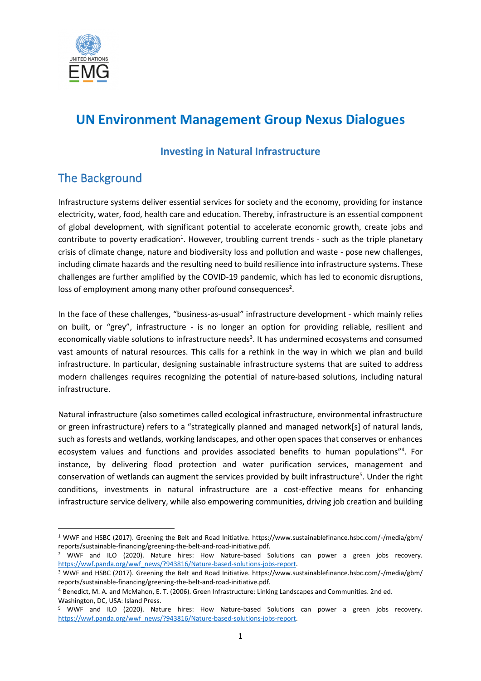

# **UN Environment Management Group Nexus Dialogues**

#### **Investing in Natural Infrastructure**

## The Background

Infrastructure systems deliver essential services for society and the economy, providing for instance electricity, water, food, health care and education. Thereby, infrastructure is an essential component of global development, with significant potential to accelerate economic growth, create jobs and contribute to poverty eradication<sup>1</sup>. However, troubling current trends - such as the triple planetary crisis of climate change, nature and biodiversity loss and pollution and waste - pose new challenges, including climate hazards and the resulting need to build resilience into infrastructure systems. These challenges are further amplified by the COVID-19 pandemic, which has led to economic disruptions, loss of employment among many other profound consequences<sup>2</sup>.

In the face of these challenges, "business-as-usual" infrastructure development - which mainly relies on built, or "grey", infrastructure - is no longer an option for providing reliable, resilient and economically viable solutions to infrastructure needs<sup>3</sup>. It has undermined ecosystems and consumed vast amounts of natural resources. This calls for a rethink in the way in which we plan and build infrastructure. In particular, designing sustainable infrastructure systems that are suited to address modern challenges requires recognizing the potential of nature-based solutions, including natural infrastructure.

Natural infrastructure (also sometimes called ecological infrastructure, environmental infrastructure or green infrastructure) refers to a "strategically planned and managed network[s] of natural lands, such as forests and wetlands, working landscapes, and other open spaces that conserves or enhances ecosystem values and functions and provides associated benefits to human populations"<sup>4</sup>. For instance, by delivering flood protection and water purification services, management and conservation of wetlands can augment the services provided by built infrastructure<sup>5</sup>. Under the right conditions, investments in natural infrastructure are a cost-effective means for enhancing infrastructure service delivery, while also empowering communities, driving job creation and building

<sup>1</sup> WWF and HSBC (2017). Greening the Belt and Road Initiative. https://www.sustainablefinance.hsbc.com/-/media/gbm/ reports/sustainable-financing/greening-the-belt-and-road-initiative.pdf.

<sup>2</sup> WWF and ILO (2020). Nature hires: How Nature-based Solutions can power a green jobs recovery. [https://wwf.panda.org/wwf\\_news/?943816/Nature-based-solutions-jobs-report.](https://wwf.panda.org/wwf_news/?943816/Nature-based-solutions-jobs-report)

<sup>3</sup> WWF and HSBC (2017). Greening the Belt and Road Initiative. https://www.sustainablefinance.hsbc.com/-/media/gbm/ reports/sustainable-financing/greening-the-belt-and-road-initiative.pdf.

<sup>4</sup> Benedict, M. A. and McMahon, E. T. (2006). Green Infrastructure: Linking Landscapes and Communities. 2nd ed. Washington, DC, USA: Island Press.

<sup>5</sup> WWF and ILO (2020). Nature hires: How Nature-based Solutions can power a green jobs recovery. https://wwf.panda.org/wwf\_news/?943816/Nature-based-solutions-jobs-report.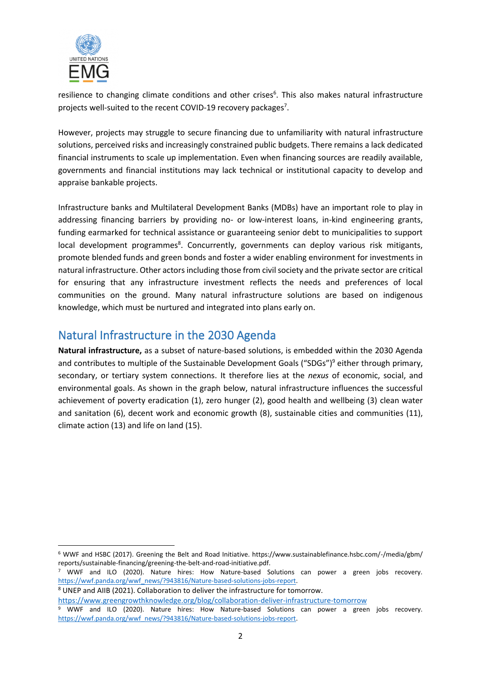

resilience to changing climate conditions and other crises<sup>6</sup>. This also makes natural infrastructure projects well-suited to the recent COVID-19 recovery packages<sup>7</sup>.

However, projects may struggle to secure financing due to unfamiliarity with natural infrastructure solutions, perceived risks and increasingly constrained public budgets. There remains a lack dedicated financial instruments to scale up implementation. Even when financing sources are readily available, governments and financial institutions may lack technical or institutional capacity to develop and appraise bankable projects.

Infrastructure banks and Multilateral Development Banks (MDBs) have an important role to play in addressing financing barriers by providing no- or low-interest loans, in-kind engineering grants, funding earmarked for technical assistance or guaranteeing senior debt to municipalities to support local development programmes<sup>8</sup>. Concurrently, governments can deploy various risk mitigants, promote blended funds and green bonds and foster a wider enabling environment for investments in natural infrastructure. Other actors including those from civil society and the private sector are critical for ensuring that any infrastructure investment reflects the needs and preferences of local communities on the ground. Many natural infrastructure solutions are based on indigenous knowledge, which must be nurtured and integrated into plans early on.

### Natural Infrastructure in the 2030 Agenda

**Natural infrastructure,** as a subset of nature-based solutions, is embedded within the 2030 Agenda and contributes to multiple of the Sustainable Development Goals ("SDGs")<sup>9</sup> either through primary, secondary, or tertiary system connections. It therefore lies at the *nexus* of economic, social, and environmental goals. As shown in the graph below, natural infrastructure influences the successful achievement of poverty eradication (1), zero hunger (2), good health and wellbeing (3) clean water and sanitation (6), decent work and economic growth (8), sustainable cities and communities (11), climate action (13) and life on land (15).

<sup>8</sup> UNEP and AIIB (2021). Collaboration to deliver the infrastructure for tomorrow.

<sup>6</sup> WWF and HSBC (2017). Greening the Belt and Road Initiative. https://www.sustainablefinance.hsbc.com/-/media/gbm/ reports/sustainable-financing/greening-the-belt-and-road-initiative.pdf.

<sup>7</sup> WWF and ILO (2020). Nature hires: How Nature-based Solutions can power a green jobs recovery. [https://wwf.panda.org/wwf\\_news/?943816/Nature-based-solutions-jobs-report.](https://wwf.panda.org/wwf_news/?943816/Nature-based-solutions-jobs-report)

<https://www.greengrowthknowledge.org/blog/collaboration-deliver-infrastructure-tomorrow>

<sup>9</sup> WWF and ILO (2020). Nature hires: How Nature-based Solutions can power a green jobs recovery. [https://wwf.panda.org/wwf\\_news/?943816/Nature-based-solutions-jobs-report.](https://wwf.panda.org/wwf_news/?943816/Nature-based-solutions-jobs-report)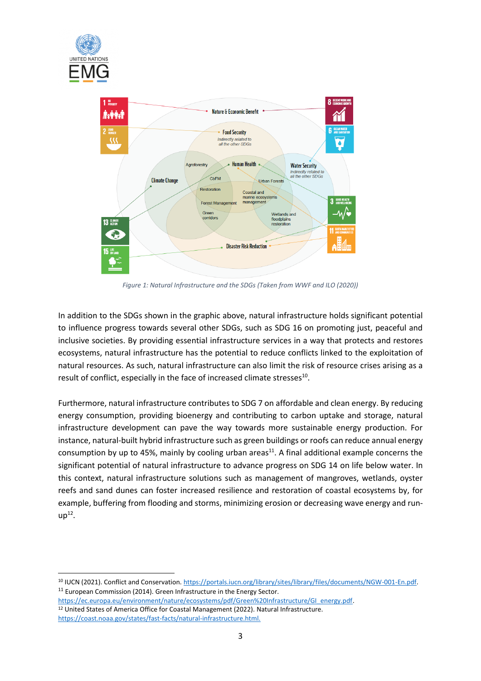



*Figure 1: Natural Infrastructure and the SDGs (Taken from WWF and ILO (2020))*

In addition to the SDGs shown in the graphic above, natural infrastructure holds significant potential to influence progress towards several other SDGs, such as SDG 16 on promoting just, peaceful and inclusive societies. By providing essential infrastructure services in a way that protects and restores ecosystems, natural infrastructure has the potential to reduce conflicts linked to the exploitation of natural resources. As such, natural infrastructure can also limit the risk of resource crises arising as a result of conflict, especially in the face of increased climate stresses<sup>10</sup>.

Furthermore, natural infrastructure contributes to SDG 7 on affordable and clean energy. By reducing energy consumption, providing bioenergy and contributing to carbon uptake and storage, natural infrastructure development can pave the way towards more sustainable energy production. For instance, natural-built hybrid infrastructure such as green buildings or roofs can reduce annual energy consumption by up to 45%, mainly by cooling urban areas $^{11}$ . A final additional example concerns the significant potential of natural infrastructure to advance progress on SDG 14 on life below water. In this context, natural infrastructure solutions such as management of mangroves, wetlands, oyster reefs and sand dunes can foster increased resilience and restoration of coastal ecosystems by, for example, buffering from flooding and storms, minimizing erosion or decreasing wave energy and run $up<sup>12</sup>$ .

[https://ec.europa.eu/environment/nature/ecosystems/pdf/Green%20Infrastructure/GI\\_energy.pdf.](https://ec.europa.eu/environment/nature/ecosystems/pdf/Green%20Infrastructure/GI_energy.pdf) <sup>12</sup> United States of America Office for Coastal Management (2022). Natural Infrastructure. [https://coast.noaa.gov/states/fast-facts/natural-infrastructure.html.](https://coast.noaa.gov/states/fast-facts/natural-infrastructure.html) 

<sup>&</sup>lt;sup>10</sup> IUCN (2021). Conflict and Conservation[. https://portals.iucn.org/library/sites/library/files/documents/NGW-001-En.pdf.](https://portals.iucn.org/library/sites/library/files/documents/NGW-001-En.pdf) <sup>11</sup> European Commission (2014). Green Infrastructure in the Energy Sector.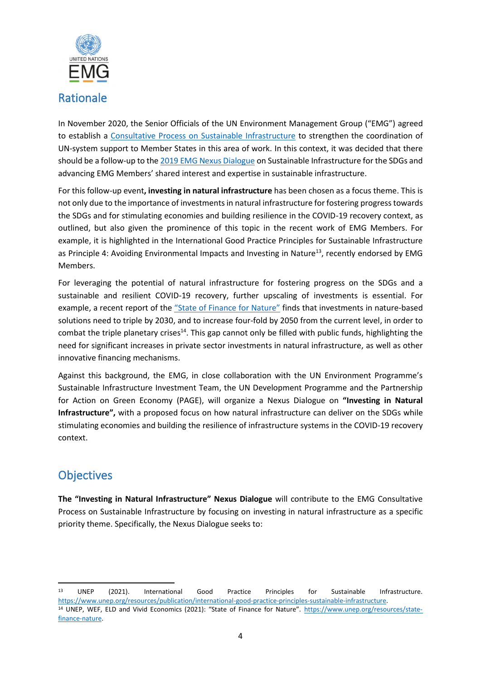

In November 2020, the Senior Officials of the UN Environment Management Group ("EMG") agreed to establish a [Consultative Process on Sustainable Infrastructure](https://unemg.org/sustainable-infrastructure/) to strengthen the coordination of UN-system support to Member States in this area of work. In this context, it was decided that there should be a follow-up to th[e 2019 EMG Nexus Dialogue](https://unemg.org/sustainable-infrastructure/) on Sustainable Infrastructure for the SDGs and advancing EMG Members' shared interest and expertise in sustainable infrastructure.

For this follow-up event**, investing in natural infrastructure** has been chosen as a focus theme. This is not only due to the importance of investments in natural infrastructure for fostering progress towards the SDGs and for stimulating economies and building resilience in the COVID-19 recovery context, as outlined, but also given the prominence of this topic in the recent work of EMG Members. For example, it is highlighted in the International Good Practice Principles for Sustainable Infrastructure as Principle 4: Avoiding Environmental Impacts and Investing in Nature<sup>13</sup>, recently endorsed by EMG Members.

For leveraging the potential of natural infrastructure for fostering progress on the SDGs and a sustainable and resilient COVID-19 recovery, further upscaling of investments is essential. For example, a recent report of the ["State of Finance for Nature"](https://www.unep.org/resources/state-finance-nature) finds that investments in nature-based solutions need to triple by 2030, and to increase four-fold by 2050 from the current level, in order to combat the triple planetary crises<sup>14</sup>. This gap cannot only be filled with public funds, highlighting the need for significant increases in private sector investments in natural infrastructure, as well as other innovative financing mechanisms.

Against this background, the EMG, in close collaboration with the UN Environment Programme's Sustainable Infrastructure Investment Team, the UN Development Programme and the Partnership for Action on Green Economy (PAGE), will organize a Nexus Dialogue on **"Investing in Natural Infrastructure",** with a proposed focus on how natural infrastructure can deliver on the SDGs while stimulating economies and building the resilience of infrastructure systems in the COVID-19 recovery context.

### **Objectives**

**The "Investing in Natural Infrastructure" Nexus Dialogue** will contribute to the EMG Consultative Process on Sustainable Infrastructure by focusing on investing in natural infrastructure as a specific priority theme. Specifically, the Nexus Dialogue seeks to:

<sup>13</sup> UNEP (2021). International Good Practice Principles for Sustainable Infrastructure. [https://www.unep.org/resources/publication/international-good-practice-principles-sustainable-infrastructure.](https://www.unep.org/resources/publication/international-good-practice-principles-sustainable-infrastructure) <sup>14</sup> UNEP, WEF, ELD and Vivid Economics (2021): "State of Finance for Nature". [https://www.unep.org/resources/state](https://www.unep.org/resources/state-finance-nature)[finance-nature.](https://www.unep.org/resources/state-finance-nature)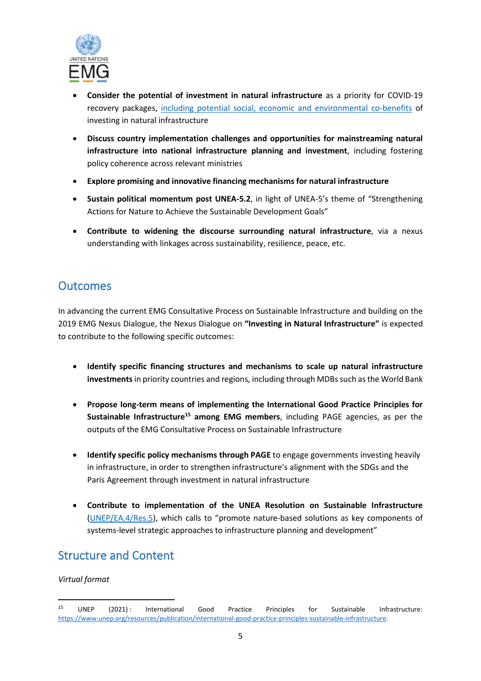

- **Consider the potential of investment in natural infrastructure** as a priority for COVID-19 recovery packages, [including potential social, economic and environmental co-benefits](https://www.iucn.org/sites/dev/files/iucn-nbr-tp-3-compressed.pdf) of investing in natural infrastructure
- **Discuss country implementation challenges and opportunities for mainstreaming natural infrastructure into national infrastructure planning and investment**, including fostering policy coherence across relevant ministries
- **Explore promising and innovative financing mechanisms for natural infrastructure**
- **Sustain political momentum post UNEA-5.2**, in light of UNEA-5's theme of "Strengthening Actions for Nature to Achieve the Sustainable Development Goals"
- **Contribute to widening the discourse surrounding natural infrastructure**, via a nexus understanding with linkages across sustainability, resilience, peace, etc.

#### **Outcomes**

In advancing the current EMG Consultative Process on Sustainable Infrastructure and building on the 2019 EMG Nexus Dialogue, the Nexus Dialogue on **"Investing in Natural Infrastructure"** is expected to contribute to the following specific outcomes:

- **Identify specific financing structures and mechanisms to scale up natural infrastructure investments** in priority countries and regions, including through MDBs such as the World Bank
- **Propose long-term means of implementing the International Good Practice Principles for Sustainable Infrastructure<sup>15</sup> among EMG members**, including PAGE agencies, as per the outputs of the EMG Consultative Process on Sustainable Infrastructure
- **Identify specific policy mechanisms through PAGE** to engage governments investing heavily in infrastructure, in order to strengthen infrastructure's alignment with the SDGs and the Paris Agreement through investment in natural infrastructure
- **Contribute to implementation of the UNEA Resolution on Sustainable Infrastructure** [\(UNEP/EA.4/Res.5](https://wedocs.unep.org/bitstream/handle/20.500.11822/28470/English.pdf?sequence=3&isAllowed=y)), which calls to "promote nature-based solutions as key components of systems-level strategic approaches to infrastructure planning and development"

### Structure and Content

*Virtual format*

<sup>&</sup>lt;sup>15</sup> UNEP (2021): International Good Practice Principles for Sustainable Infrastructure: [https://www.unep.org/resources/publication/international-good-practice-principles-sustainable-infrastructure.](https://www.unep.org/resources/publication/international-good-practice-principles-sustainable-infrastructure)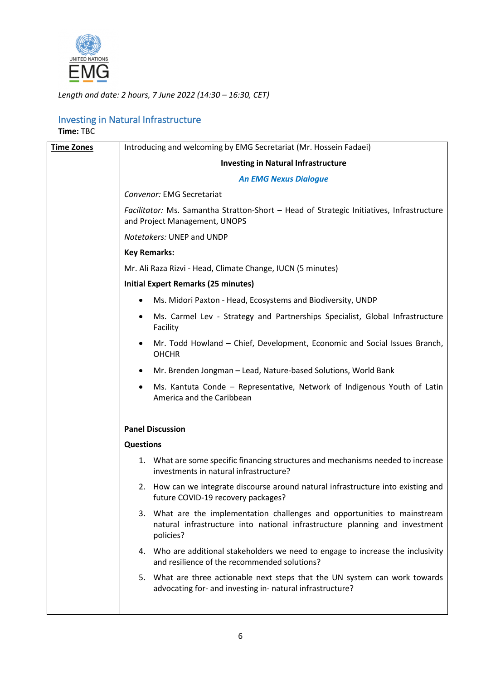

*Length and date: 2 hours, 7 June 2022 (14:30 – 16:30, CET)*

#### Investing in Natural Infrastructure **Time:** TBC

| <b>Time Zones</b> | Introducing and welcoming by EMG Secretariat (Mr. Hossein Fadaei)                                                                                                     |
|-------------------|-----------------------------------------------------------------------------------------------------------------------------------------------------------------------|
|                   | <b>Investing in Natural Infrastructure</b>                                                                                                                            |
|                   | <b>An EMG Nexus Dialogue</b>                                                                                                                                          |
|                   | Convenor: EMG Secretariat                                                                                                                                             |
|                   | Facilitator: Ms. Samantha Stratton-Short - Head of Strategic Initiatives, Infrastructure<br>and Project Management, UNOPS                                             |
|                   | Notetakers: UNEP and UNDP                                                                                                                                             |
|                   | <b>Key Remarks:</b>                                                                                                                                                   |
|                   | Mr. Ali Raza Rizvi - Head, Climate Change, IUCN (5 minutes)                                                                                                           |
|                   | <b>Initial Expert Remarks (25 minutes)</b>                                                                                                                            |
|                   | Ms. Midori Paxton - Head, Ecosystems and Biodiversity, UNDP                                                                                                           |
|                   | Ms. Carmel Lev - Strategy and Partnerships Specialist, Global Infrastructure<br>٠<br>Facility                                                                         |
|                   | Mr. Todd Howland - Chief, Development, Economic and Social Issues Branch,<br><b>OHCHR</b>                                                                             |
|                   | Mr. Brenden Jongman - Lead, Nature-based Solutions, World Bank                                                                                                        |
|                   | Ms. Kantuta Conde – Representative, Network of Indigenous Youth of Latin<br>America and the Caribbean                                                                 |
|                   | <b>Panel Discussion</b>                                                                                                                                               |
|                   | <b>Questions</b>                                                                                                                                                      |
|                   | 1. What are some specific financing structures and mechanisms needed to increase<br>investments in natural infrastructure?                                            |
|                   | 2. How can we integrate discourse around natural infrastructure into existing and<br>future COVID-19 recovery packages?                                               |
|                   | 3. What are the implementation challenges and opportunities to mainstream<br>natural infrastructure into national infrastructure planning and investment<br>policies? |
|                   | 4. Who are additional stakeholders we need to engage to increase the inclusivity<br>and resilience of the recommended solutions?                                      |
|                   | 5. What are three actionable next steps that the UN system can work towards<br>advocating for- and investing in- natural infrastructure?                              |
|                   |                                                                                                                                                                       |